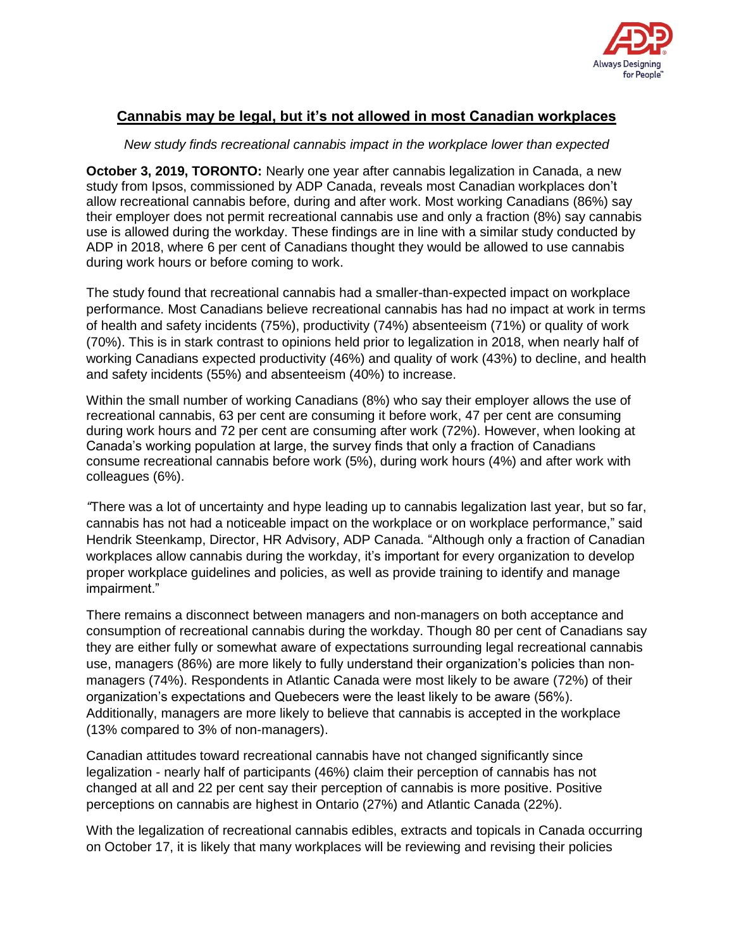

# **Cannabis may be legal, but it's not allowed in most Canadian workplaces**

### *New study finds recreational cannabis impact in the workplace lower than expected*

**October 3, 2019, TORONTO:** Nearly one year after cannabis legalization in Canada, a new study from Ipsos, commissioned by ADP Canada, reveals most Canadian workplaces don't allow recreational cannabis before, during and after work. Most working Canadians (86%) say their employer does not permit recreational cannabis use and only a fraction (8%) say cannabis use is allowed during the workday. These findings are in line with a similar study conducted by ADP in 2018, where 6 per cent of Canadians thought they would be allowed to use cannabis during work hours or before coming to work.

The study found that recreational cannabis had a smaller-than-expected impact on workplace performance. Most Canadians believe recreational cannabis has had no impact at work in terms of health and safety incidents (75%), productivity (74%) absenteeism (71%) or quality of work (70%). This is in stark contrast to opinions held prior to legalization in 2018, when nearly half of working Canadians expected productivity (46%) and quality of work (43%) to decline, and health and safety incidents (55%) and absenteeism (40%) to increase.

Within the small number of working Canadians (8%) who say their employer allows the use of recreational cannabis, 63 per cent are consuming it before work, 47 per cent are consuming during work hours and 72 per cent are consuming after work (72%). However, when looking at Canada's working population at large, the survey finds that only a fraction of Canadians consume recreational cannabis before work (5%), during work hours (4%) and after work with colleagues (6%).

*"*There was a lot of uncertainty and hype leading up to cannabis legalization last year, but so far, cannabis has not had a noticeable impact on the workplace or on workplace performance," said Hendrik Steenkamp, Director, HR Advisory, ADP Canada. "Although only a fraction of Canadian workplaces allow cannabis during the workday, it's important for every organization to develop proper workplace guidelines and policies, as well as provide training to identify and manage impairment."

There remains a disconnect between managers and non-managers on both acceptance and consumption of recreational cannabis during the workday. Though 80 per cent of Canadians say they are either fully or somewhat aware of expectations surrounding legal recreational cannabis use, managers (86%) are more likely to fully understand their organization's policies than nonmanagers (74%). Respondents in Atlantic Canada were most likely to be aware (72%) of their organization's expectations and Quebecers were the least likely to be aware (56%). Additionally, managers are more likely to believe that cannabis is accepted in the workplace (13% compared to 3% of non-managers).

Canadian attitudes toward recreational cannabis have not changed significantly since legalization - nearly half of participants (46%) claim their perception of cannabis has not changed at all and 22 per cent say their perception of cannabis is more positive. Positive perceptions on cannabis are highest in Ontario (27%) and Atlantic Canada (22%).

With the legalization of recreational cannabis edibles, extracts and topicals in Canada occurring on October 17, it is likely that many workplaces will be reviewing and revising their policies